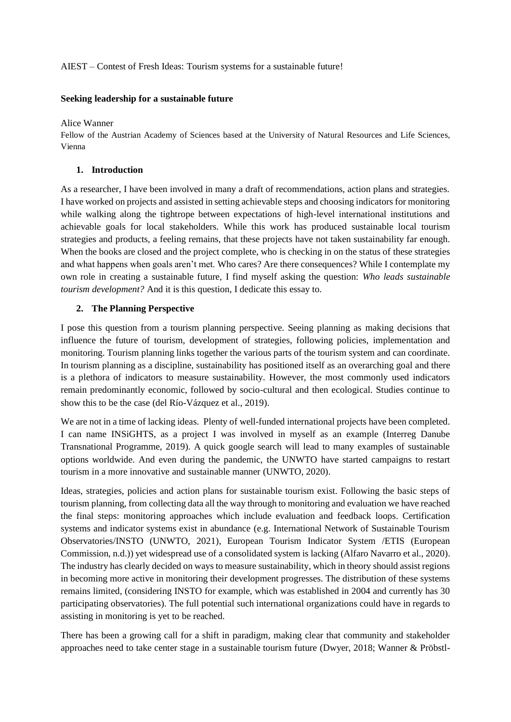# AIEST – Contest of Fresh Ideas: Tourism systems for a sustainable future!

### **Seeking leadership for a sustainable future**

Alice Wanner

Fellow of the Austrian Academy of Sciences based at the University of Natural Resources and Life Sciences, Vienna

### **1. Introduction**

As a researcher, I have been involved in many a draft of recommendations, action plans and strategies. I have worked on projects and assisted in setting achievable steps and choosing indicators for monitoring while walking along the tightrope between expectations of high-level international institutions and achievable goals for local stakeholders. While this work has produced sustainable local tourism strategies and products, a feeling remains, that these projects have not taken sustainability far enough. When the books are closed and the project complete, who is checking in on the status of these strategies and what happens when goals aren't met. Who cares? Are there consequences? While I contemplate my own role in creating a sustainable future, I find myself asking the question: *Who leads sustainable tourism development?* And it is this question, I dedicate this essay to.

# **2. The Planning Perspective**

I pose this question from a tourism planning perspective. Seeing planning as making decisions that influence the future of tourism, development of strategies, following policies, implementation and monitoring. Tourism planning links together the various parts of the tourism system and can coordinate. In tourism planning as a discipline, sustainability has positioned itself as an overarching goal and there is a plethora of indicators to measure sustainability. However, the most commonly used indicators remain predominantly economic, followed by socio-cultural and then ecological. Studies continue to show this to be the case (del Río-Vázquez et al., 2019).

We are not in a time of lacking ideas. Plenty of well-funded international projects have been completed. I can name INSiGHTS, as a project I was involved in myself as an example (Interreg Danube Transnational Programme, 2019). A quick google search will lead to many examples of sustainable options worldwide. And even during the pandemic, the UNWTO have started campaigns to restart tourism in a more innovative and sustainable manner (UNWTO, 2020).

Ideas, strategies, policies and action plans for sustainable tourism exist. Following the basic steps of tourism planning, from collecting data all the way through to monitoring and evaluation we have reached the final steps: monitoring approaches which include evaluation and feedback loops. Certification systems and indicator systems exist in abundance (e.g. International Network of Sustainable Tourism Observatories/INSTO (UNWTO, 2021), European Tourism Indicator System /ETIS (European Commission, n.d.)) yet widespread use of a consolidated system is lacking (Alfaro Navarro et al., 2020). The industry has clearly decided on ways to measure sustainability, which in theory should assist regions in becoming more active in monitoring their development progresses. The distribution of these systems remains limited, (considering INSTO for example, which was established in 2004 and currently has 30 participating observatories). The full potential such international organizations could have in regards to assisting in monitoring is yet to be reached.

There has been a growing call for a shift in paradigm, making clear that community and stakeholder approaches need to take center stage in a sustainable tourism future (Dwyer, 2018; Wanner & Pröbstl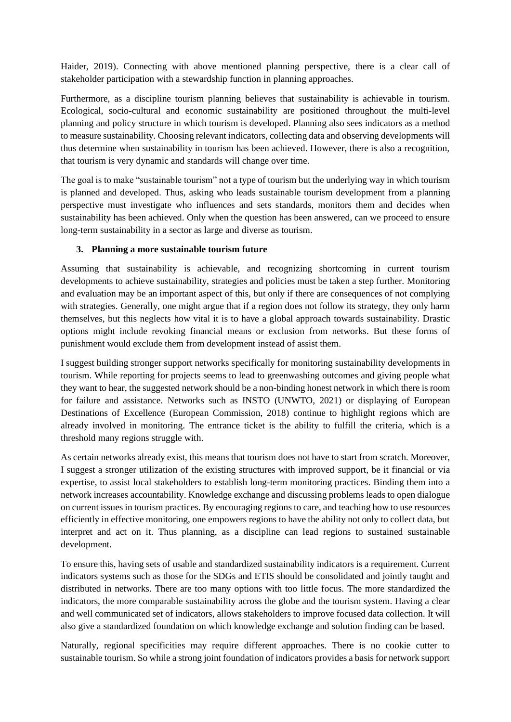Haider, 2019). Connecting with above mentioned planning perspective, there is a clear call of stakeholder participation with a stewardship function in planning approaches.

Furthermore, as a discipline tourism planning believes that sustainability is achievable in tourism. Ecological, socio-cultural and economic sustainability are positioned throughout the multi-level planning and policy structure in which tourism is developed. Planning also sees indicators as a method to measure sustainability. Choosing relevant indicators, collecting data and observing developments will thus determine when sustainability in tourism has been achieved. However, there is also a recognition, that tourism is very dynamic and standards will change over time.

The goal is to make "sustainable tourism" not a type of tourism but the underlying way in which tourism is planned and developed. Thus, asking who leads sustainable tourism development from a planning perspective must investigate who influences and sets standards, monitors them and decides when sustainability has been achieved. Only when the question has been answered, can we proceed to ensure long-term sustainability in a sector as large and diverse as tourism.

# **3. Planning a more sustainable tourism future**

Assuming that sustainability is achievable, and recognizing shortcoming in current tourism developments to achieve sustainability, strategies and policies must be taken a step further. Monitoring and evaluation may be an important aspect of this, but only if there are consequences of not complying with strategies. Generally, one might argue that if a region does not follow its strategy, they only harm themselves, but this neglects how vital it is to have a global approach towards sustainability. Drastic options might include revoking financial means or exclusion from networks. But these forms of punishment would exclude them from development instead of assist them.

I suggest building stronger support networks specifically for monitoring sustainability developments in tourism. While reporting for projects seems to lead to greenwashing outcomes and giving people what they want to hear, the suggested network should be a non-binding honest network in which there is room for failure and assistance. Networks such as INSTO (UNWTO, 2021) or displaying of European Destinations of Excellence (European Commission, 2018) continue to highlight regions which are already involved in monitoring. The entrance ticket is the ability to fulfill the criteria, which is a threshold many regions struggle with.

As certain networks already exist, this means that tourism does not have to start from scratch. Moreover, I suggest a stronger utilization of the existing structures with improved support, be it financial or via expertise, to assist local stakeholders to establish long-term monitoring practices. Binding them into a network increases accountability. Knowledge exchange and discussing problems leads to open dialogue on current issues in tourism practices. By encouraging regions to care, and teaching how to use resources efficiently in effective monitoring, one empowers regions to have the ability not only to collect data, but interpret and act on it. Thus planning, as a discipline can lead regions to sustained sustainable development.

To ensure this, having sets of usable and standardized sustainability indicators is a requirement. Current indicators systems such as those for the SDGs and ETIS should be consolidated and jointly taught and distributed in networks. There are too many options with too little focus. The more standardized the indicators, the more comparable sustainability across the globe and the tourism system. Having a clear and well communicated set of indicators, allows stakeholders to improve focused data collection. It will also give a standardized foundation on which knowledge exchange and solution finding can be based.

Naturally, regional specificities may require different approaches. There is no cookie cutter to sustainable tourism. So while a strong joint foundation of indicators provides a basis for network support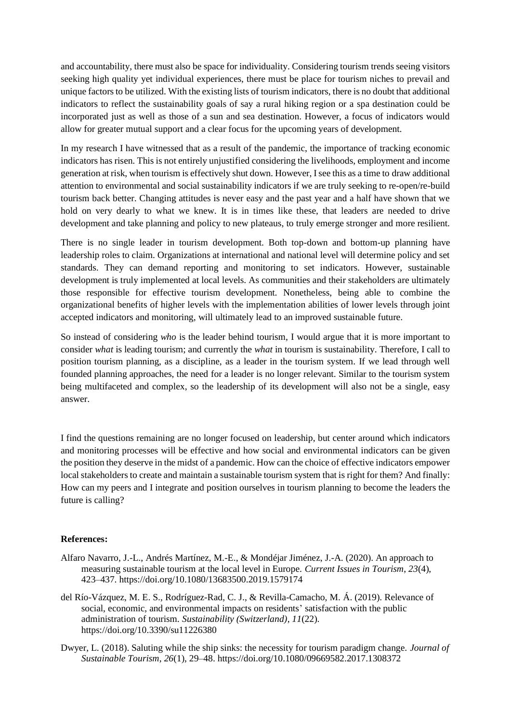and accountability, there must also be space for individuality. Considering tourism trends seeing visitors seeking high quality yet individual experiences, there must be place for tourism niches to prevail and unique factors to be utilized. With the existing lists of tourism indicators, there is no doubt that additional indicators to reflect the sustainability goals of say a rural hiking region or a spa destination could be incorporated just as well as those of a sun and sea destination. However, a focus of indicators would allow for greater mutual support and a clear focus for the upcoming years of development.

In my research I have witnessed that as a result of the pandemic, the importance of tracking economic indicators has risen. This is not entirely unjustified considering the livelihoods, employment and income generation at risk, when tourism is effectively shut down. However, I see this as a time to draw additional attention to environmental and social sustainability indicators if we are truly seeking to re-open/re-build tourism back better. Changing attitudes is never easy and the past year and a half have shown that we hold on very dearly to what we knew. It is in times like these, that leaders are needed to drive development and take planning and policy to new plateaus, to truly emerge stronger and more resilient.

There is no single leader in tourism development. Both top-down and bottom-up planning have leadership roles to claim. Organizations at international and national level will determine policy and set standards. They can demand reporting and monitoring to set indicators. However, sustainable development is truly implemented at local levels. As communities and their stakeholders are ultimately those responsible for effective tourism development. Nonetheless, being able to combine the organizational benefits of higher levels with the implementation abilities of lower levels through joint accepted indicators and monitoring, will ultimately lead to an improved sustainable future.

So instead of considering *who* is the leader behind tourism, I would argue that it is more important to consider *what* is leading tourism; and currently the *what* in tourism is sustainability. Therefore, I call to position tourism planning, as a discipline, as a leader in the tourism system. If we lead through well founded planning approaches, the need for a leader is no longer relevant. Similar to the tourism system being multifaceted and complex, so the leadership of its development will also not be a single, easy answer.

I find the questions remaining are no longer focused on leadership, but center around which indicators and monitoring processes will be effective and how social and environmental indicators can be given the position they deserve in the midst of a pandemic. How can the choice of effective indicators empower local stakeholders to create and maintain a sustainable tourism system that is right for them? And finally: How can my peers and I integrate and position ourselves in tourism planning to become the leaders the future is calling?

#### **References:**

- Alfaro Navarro, J.-L., Andrés Martínez, M.-E., & Mondéjar Jiménez, J.-A. (2020). An approach to measuring sustainable tourism at the local level in Europe. *Current Issues in Tourism*, *23*(4), 423–437. https://doi.org/10.1080/13683500.2019.1579174
- del Río-Vázquez, M. E. S., Rodríguez-Rad, C. J., & Revilla-Camacho, M. Á. (2019). Relevance of social, economic, and environmental impacts on residents' satisfaction with the public administration of tourism. *Sustainability (Switzerland)*, *11*(22). https://doi.org/10.3390/su11226380
- Dwyer, L. (2018). Saluting while the ship sinks: the necessity for tourism paradigm change. *Journal of Sustainable Tourism*, *26*(1), 29–48. https://doi.org/10.1080/09669582.2017.1308372